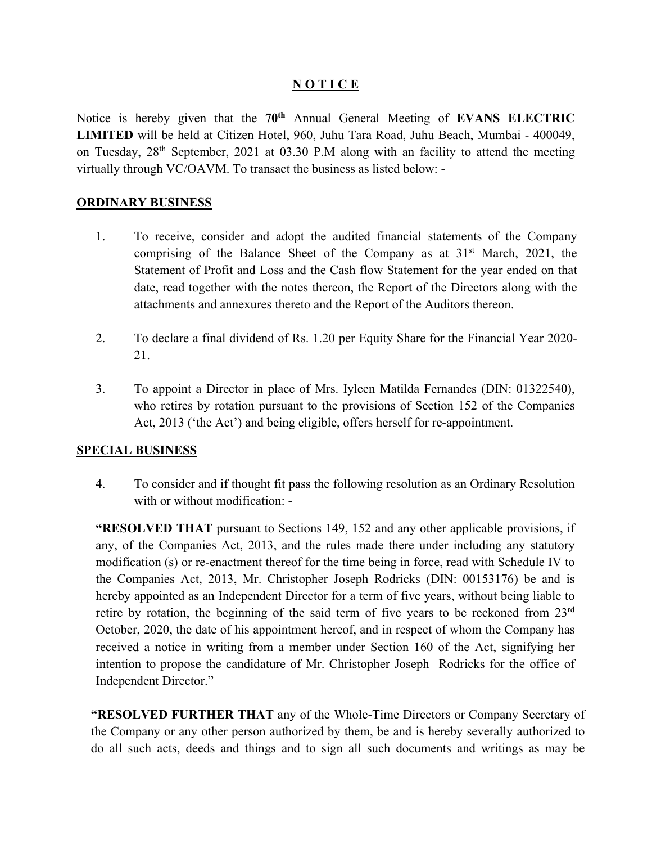#### **N O T I C E**

Notice is hereby given that the **70th** Annual General Meeting of **EVANS ELECTRIC LIMITED** will be held at Citizen Hotel, 960, Juhu Tara Road, Juhu Beach, Mumbai - 400049, on Tuesday, 28th September, 2021 at 03.30 P.M along with an facility to attend the meeting virtually through VC/OAVM. To transact the business as listed below: -

#### **ORDINARY BUSINESS**

- 1. To receive, consider and adopt the audited financial statements of the Company comprising of the Balance Sheet of the Company as at  $31<sup>st</sup>$  March, 2021, the Statement of Profit and Loss and the Cash flow Statement for the year ended on that date, read together with the notes thereon, the Report of the Directors along with the attachments and annexures thereto and the Report of the Auditors thereon.
- 2. To declare a final dividend of Rs. 1.20 per Equity Share for the Financial Year 2020- 21.
- 3. To appoint a Director in place of Mrs. Iyleen Matilda Fernandes (DIN: 01322540), who retires by rotation pursuant to the provisions of Section 152 of the Companies Act, 2013 ('the Act') and being eligible, offers herself for re-appointment.

#### **SPECIAL BUSINESS**

4. To consider and if thought fit pass the following resolution as an Ordinary Resolution with or without modification: -

**"RESOLVED THAT** pursuant to Sections 149, 152 and any other applicable provisions, if any, of the Companies Act, 2013, and the rules made there under including any statutory modification (s) or re-enactment thereof for the time being in force, read with Schedule IV to the Companies Act, 2013, Mr. Christopher Joseph Rodricks (DIN: 00153176) be and is hereby appointed as an Independent Director for a term of five years, without being liable to retire by rotation, the beginning of the said term of five years to be reckoned from 23rd October, 2020, the date of his appointment hereof, and in respect of whom the Company has received a notice in writing from a member under Section 160 of the Act, signifying her intention to propose the candidature of Mr. Christopher Joseph Rodricks for the office of Independent Director."

**"RESOLVED FURTHER THAT** any of the Whole-Time Directors or Company Secretary of the Company or any other person authorized by them, be and is hereby severally authorized to do all such acts, deeds and things and to sign all such documents and writings as may be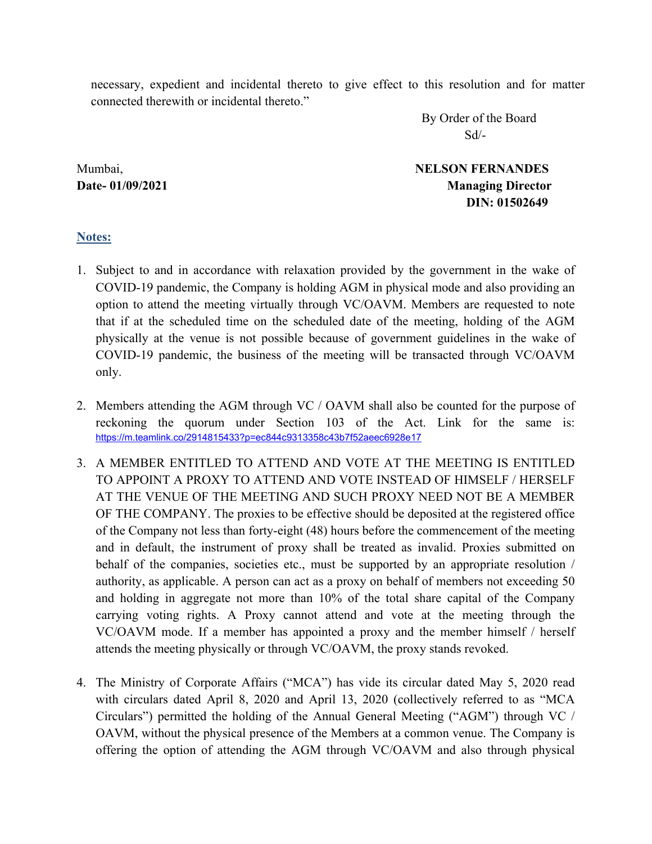necessary, expedient and incidental thereto to give effect to this resolution and for matter connected therewith or incidental thereto."

 By Order of the Board Sd/-

Mumbai, **NELSON FERNANDES Date- 01/09/2021 Managing Director DIN: 01502649** 

### **Notes:**

- 1. Subject to and in accordance with relaxation provided by the government in the wake of COVID-19 pandemic, the Company is holding AGM in physical mode and also providing an option to attend the meeting virtually through VC/OAVM. Members are requested to note that if at the scheduled time on the scheduled date of the meeting, holding of the AGM physically at the venue is not possible because of government guidelines in the wake of COVID-19 pandemic, the business of the meeting will be transacted through VC/OAVM only.
- 2. Members attending the AGM through VC / OAVM shall also be counted for the purpose of reckoning the quorum under Section 103 of the Act. Link for the same is: https://m.teamlink.co/2914815433?p=ec844c9313358c43b7f52aeec6928e17
- 3. A MEMBER ENTITLED TO ATTEND AND VOTE AT THE MEETING IS ENTITLED TO APPOINT A PROXY TO ATTEND AND VOTE INSTEAD OF HIMSELF / HERSELF AT THE VENUE OF THE MEETING AND SUCH PROXY NEED NOT BE A MEMBER OF THE COMPANY. The proxies to be effective should be deposited at the registered office of the Company not less than forty-eight (48) hours before the commencement of the meeting and in default, the instrument of proxy shall be treated as invalid. Proxies submitted on behalf of the companies, societies etc., must be supported by an appropriate resolution / authority, as applicable. A person can act as a proxy on behalf of members not exceeding 50 and holding in aggregate not more than 10% of the total share capital of the Company carrying voting rights. A Proxy cannot attend and vote at the meeting through the VC/OAVM mode. If a member has appointed a proxy and the member himself / herself attends the meeting physically or through VC/OAVM, the proxy stands revoked.
- 4. The Ministry of Corporate Affairs ("MCA") has vide its circular dated May 5, 2020 read with circulars dated April 8, 2020 and April 13, 2020 (collectively referred to as "MCA Circulars") permitted the holding of the Annual General Meeting ("AGM") through VC / OAVM, without the physical presence of the Members at a common venue. The Company is offering the option of attending the AGM through VC/OAVM and also through physical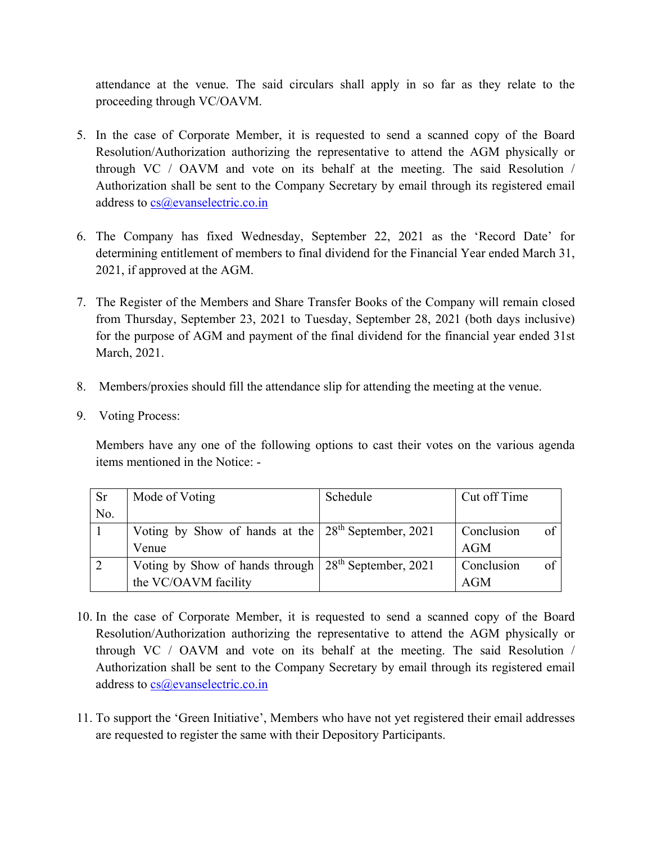attendance at the venue. The said circulars shall apply in so far as they relate to the proceeding through VC/OAVM.

- 5. In the case of Corporate Member, it is requested to send a scanned copy of the Board Resolution/Authorization authorizing the representative to attend the AGM physically or through VC / OAVM and vote on its behalf at the meeting. The said Resolution / Authorization shall be sent to the Company Secretary by email through its registered email address to cs@evanselectric.co.in
- 6. The Company has fixed Wednesday, September 22, 2021 as the 'Record Date' for determining entitlement of members to final dividend for the Financial Year ended March 31, 2021, if approved at the AGM.
- 7. The Register of the Members and Share Transfer Books of the Company will remain closed from Thursday, September 23, 2021 to Tuesday, September 28, 2021 (both days inclusive) for the purpose of AGM and payment of the final dividend for the financial year ended 31st March, 2021.
- 8. Members/proxies should fill the attendance slip for attending the meeting at the venue.
- 9. Voting Process:

Members have any one of the following options to cast their votes on the various agenda items mentioned in the Notice: -

| <b>Sr</b> | Mode of Voting                                                     | Schedule | Cut off Time                  |
|-----------|--------------------------------------------------------------------|----------|-------------------------------|
| No.       |                                                                    |          |                               |
|           | Voting by Show of hands at the 28 <sup>th</sup> September, 2021    |          | Conclusion<br>of <sub>1</sub> |
|           | Venue                                                              |          | AGM                           |
|           | Voting by Show of hands through   28 <sup>th</sup> September, 2021 |          | Conclusion<br>of              |
|           | the VC/OAVM facility                                               |          | AGM                           |

- 10. In the case of Corporate Member, it is requested to send a scanned copy of the Board Resolution/Authorization authorizing the representative to attend the AGM physically or through VC / OAVM and vote on its behalf at the meeting. The said Resolution / Authorization shall be sent to the Company Secretary by email through its registered email address to cs@evanselectric.co.in
- 11. To support the 'Green Initiative', Members who have not yet registered their email addresses are requested to register the same with their Depository Participants.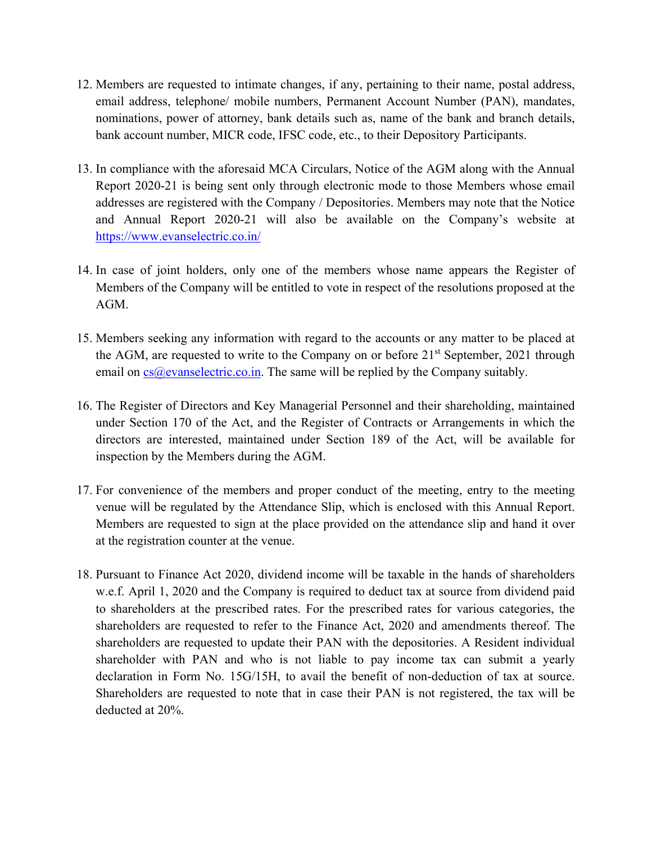- 12. Members are requested to intimate changes, if any, pertaining to their name, postal address, email address, telephone/ mobile numbers, Permanent Account Number (PAN), mandates, nominations, power of attorney, bank details such as, name of the bank and branch details, bank account number, MICR code, IFSC code, etc., to their Depository Participants.
- 13. In compliance with the aforesaid MCA Circulars, Notice of the AGM along with the Annual Report 2020-21 is being sent only through electronic mode to those Members whose email addresses are registered with the Company / Depositories. Members may note that the Notice and Annual Report 2020-21 will also be available on the Company's website at https://www.evanselectric.co.in/
- 14. In case of joint holders, only one of the members whose name appears the Register of Members of the Company will be entitled to vote in respect of the resolutions proposed at the AGM.
- 15. Members seeking any information with regard to the accounts or any matter to be placed at the AGM, are requested to write to the Company on or before  $21<sup>st</sup>$  September, 2021 through email on  $cs@e$  vanselectric.co.in. The same will be replied by the Company suitably.
- 16. The Register of Directors and Key Managerial Personnel and their shareholding, maintained under Section 170 of the Act, and the Register of Contracts or Arrangements in which the directors are interested, maintained under Section 189 of the Act, will be available for inspection by the Members during the AGM.
- 17. For convenience of the members and proper conduct of the meeting, entry to the meeting venue will be regulated by the Attendance Slip, which is enclosed with this Annual Report. Members are requested to sign at the place provided on the attendance slip and hand it over at the registration counter at the venue.
- 18. Pursuant to Finance Act 2020, dividend income will be taxable in the hands of shareholders w.e.f. April 1, 2020 and the Company is required to deduct tax at source from dividend paid to shareholders at the prescribed rates. For the prescribed rates for various categories, the shareholders are requested to refer to the Finance Act, 2020 and amendments thereof. The shareholders are requested to update their PAN with the depositories. A Resident individual shareholder with PAN and who is not liable to pay income tax can submit a yearly declaration in Form No. 15G/15H, to avail the benefit of non-deduction of tax at source. Shareholders are requested to note that in case their PAN is not registered, the tax will be deducted at 20%.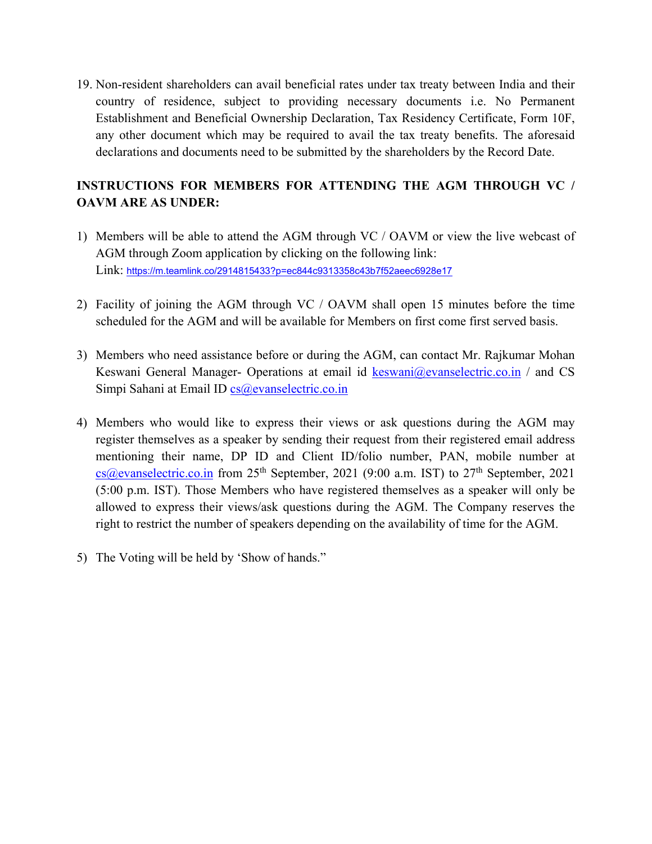19. Non-resident shareholders can avail beneficial rates under tax treaty between India and their country of residence, subject to providing necessary documents i.e. No Permanent Establishment and Beneficial Ownership Declaration, Tax Residency Certificate, Form 10F, any other document which may be required to avail the tax treaty benefits. The aforesaid declarations and documents need to be submitted by the shareholders by the Record Date.

# **INSTRUCTIONS FOR MEMBERS FOR ATTENDING THE AGM THROUGH VC / OAVM ARE AS UNDER:**

- 1) Members will be able to attend the AGM through VC / OAVM or view the live webcast of AGM through Zoom application by clicking on the following link: Link: https://m.teamlink.co/2914815433?p=ec844c9313358c43b7f52aeec6928e17
- 2) Facility of joining the AGM through VC / OAVM shall open 15 minutes before the time scheduled for the AGM and will be available for Members on first come first served basis.
- 3) Members who need assistance before or during the AGM, can contact Mr. Rajkumar Mohan Keswani General Manager- Operations at email id keswani@evanselectric.co.in / and CS Simpi Sahani at Email ID cs@evanselectric.co.in
- 4) Members who would like to express their views or ask questions during the AGM may register themselves as a speaker by sending their request from their registered email address mentioning their name, DP ID and Client ID/folio number, PAN, mobile number at  $cs@e$ vanselectric.co.in from 25<sup>th</sup> September, 2021 (9:00 a.m. IST) to 27<sup>th</sup> September, 2021 (5:00 p.m. IST). Those Members who have registered themselves as a speaker will only be allowed to express their views/ask questions during the AGM. The Company reserves the right to restrict the number of speakers depending on the availability of time for the AGM.
- 5) The Voting will be held by 'Show of hands."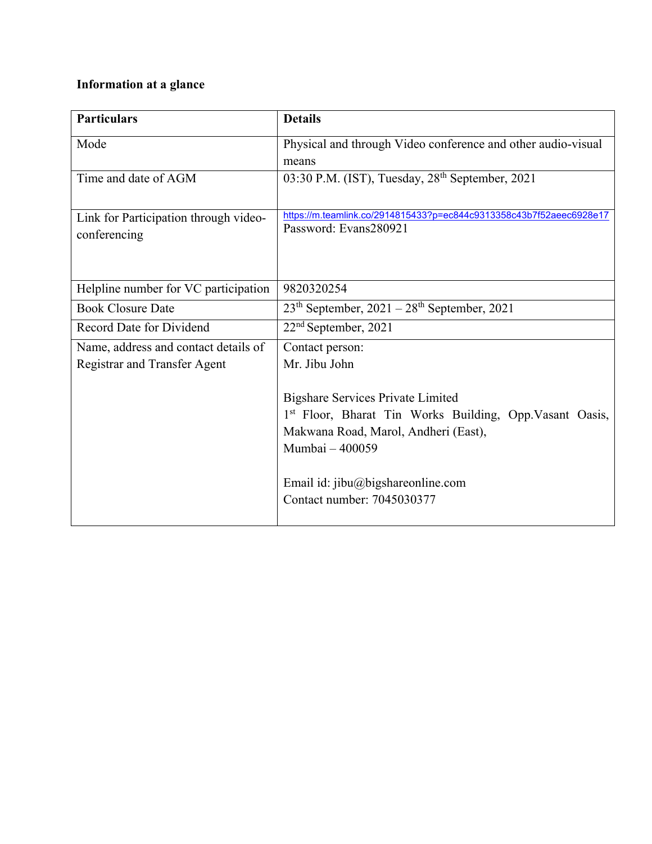# **Information at a glance**

| <b>Particulars</b>                    | <b>Details</b>                                                      |
|---------------------------------------|---------------------------------------------------------------------|
| Mode                                  | Physical and through Video conference and other audio-visual        |
|                                       | means                                                               |
| Time and date of AGM                  | 03:30 P.M. (IST), Tuesday, 28 <sup>th</sup> September, 2021         |
|                                       |                                                                     |
| Link for Participation through video- | https://m.teamlink.co/2914815433?p=ec844c9313358c43b7f52aeec6928e17 |
| conferencing                          | Password: Evans280921                                               |
|                                       |                                                                     |
|                                       |                                                                     |
| Helpline number for VC participation  | 9820320254                                                          |
| <b>Book Closure Date</b>              | $23th$ September, $2021 - 28th$ September, 2021                     |
| Record Date for Dividend              | $22nd$ September, 2021                                              |
| Name, address and contact details of  | Contact person:                                                     |
| <b>Registrar and Transfer Agent</b>   | Mr. Jibu John                                                       |
|                                       |                                                                     |
|                                       | <b>Bigshare Services Private Limited</b>                            |
|                                       | 1st Floor, Bharat Tin Works Building, Opp. Vasant Oasis,            |
|                                       | Makwana Road, Marol, Andheri (East),                                |
|                                       | Mumbai - 400059                                                     |
|                                       |                                                                     |
|                                       | Email id: jibu@bigshareonline.com<br>Contact number: 7045030377     |
|                                       |                                                                     |
|                                       |                                                                     |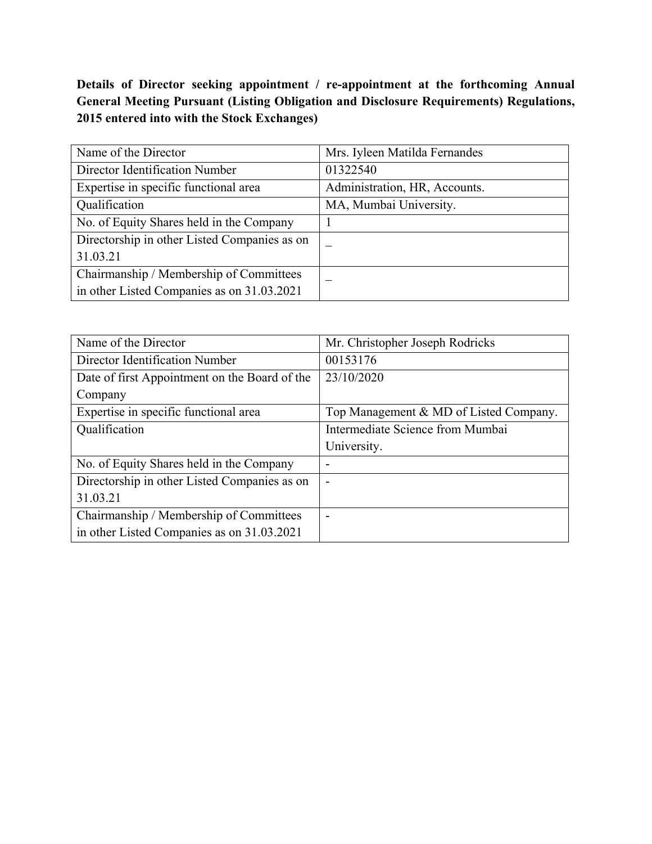# **Details of Director seeking appointment / re-appointment at the forthcoming Annual General Meeting Pursuant (Listing Obligation and Disclosure Requirements) Regulations, 2015 entered into with the Stock Exchanges)**

| Name of the Director                         | Mrs. Iyleen Matilda Fernandes |
|----------------------------------------------|-------------------------------|
| Director Identification Number               | 01322540                      |
| Expertise in specific functional area        | Administration, HR, Accounts. |
| Qualification                                | MA, Mumbai University.        |
| No. of Equity Shares held in the Company     |                               |
| Directorship in other Listed Companies as on |                               |
| 31.03.21                                     |                               |
| Chairmanship / Membership of Committees      |                               |
| in other Listed Companies as on 31.03.2021   |                               |

| Name of the Director                          | Mr. Christopher Joseph Rodricks        |  |
|-----------------------------------------------|----------------------------------------|--|
| Director Identification Number                | 00153176                               |  |
| Date of first Appointment on the Board of the | 23/10/2020                             |  |
| Company                                       |                                        |  |
| Expertise in specific functional area         | Top Management & MD of Listed Company. |  |
| Qualification                                 | Intermediate Science from Mumbai       |  |
|                                               | University.                            |  |
| No. of Equity Shares held in the Company      | ۰                                      |  |
| Directorship in other Listed Companies as on  | $\blacksquare$                         |  |
| 31.03.21                                      |                                        |  |
| Chairmanship / Membership of Committees       | ۰                                      |  |
| in other Listed Companies as on 31.03.2021    |                                        |  |